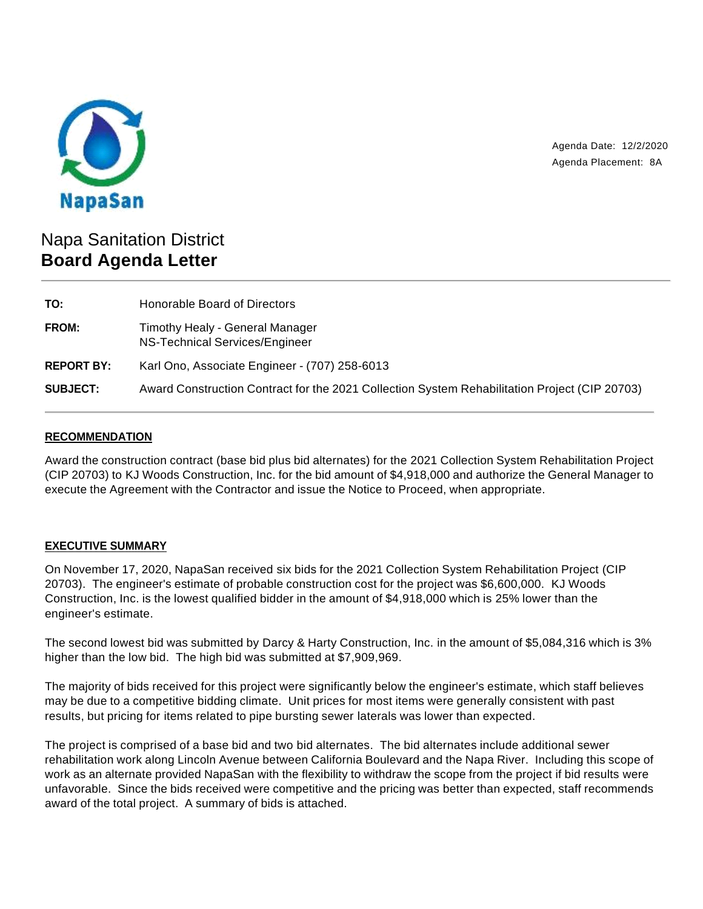

Agenda Date: 12/2/2020 Agenda Placement: 8A

# Napa Sanitation District **Board Agenda Letter**

| TO:               | Honorable Board of Directors                                                                  |
|-------------------|-----------------------------------------------------------------------------------------------|
| FROM:             | Timothy Healy - General Manager<br>NS-Technical Services/Engineer                             |
| <b>REPORT BY:</b> | Karl Ono, Associate Engineer - (707) 258-6013                                                 |
| <b>SUBJECT:</b>   | Award Construction Contract for the 2021 Collection System Rehabilitation Project (CIP 20703) |

### **RECOMMENDATION**

Award the construction contract (base bid plus bid alternates) for the 2021 Collection System Rehabilitation Project (CIP 20703) to KJ Woods Construction, Inc. for the bid amount of \$4,918,000 and authorize the General Manager to execute the Agreement with the Contractor and issue the Notice to Proceed, when appropriate.

## **EXECUTIVE SUMMARY**

On November 17, 2020, NapaSan received six bids for the 2021 Collection System Rehabilitation Project (CIP 20703). The engineer's estimate of probable construction cost for the project was \$6,600,000. KJ Woods Construction, Inc. is the lowest qualified bidder in the amount of \$4,918,000 which is 25% lower than the engineer's estimate.

The second lowest bid was submitted by Darcy & Harty Construction, Inc. in the amount of \$5,084,316 which is 3% higher than the low bid. The high bid was submitted at \$7,909,969.

The majority of bids received for this project were significantly below the engineer's estimate, which staff believes may be due to a competitive bidding climate. Unit prices for most items were generally consistent with past results, but pricing for items related to pipe bursting sewer laterals was lower than expected.

The project is comprised of a base bid and two bid alternates. The bid alternates include additional sewer rehabilitation work along Lincoln Avenue between California Boulevard and the Napa River. Including this scope of work as an alternate provided NapaSan with the flexibility to withdraw the scope from the project if bid results were unfavorable. Since the bids received were competitive and the pricing was better than expected, staff recommends award of the total project. A summary of bids is attached.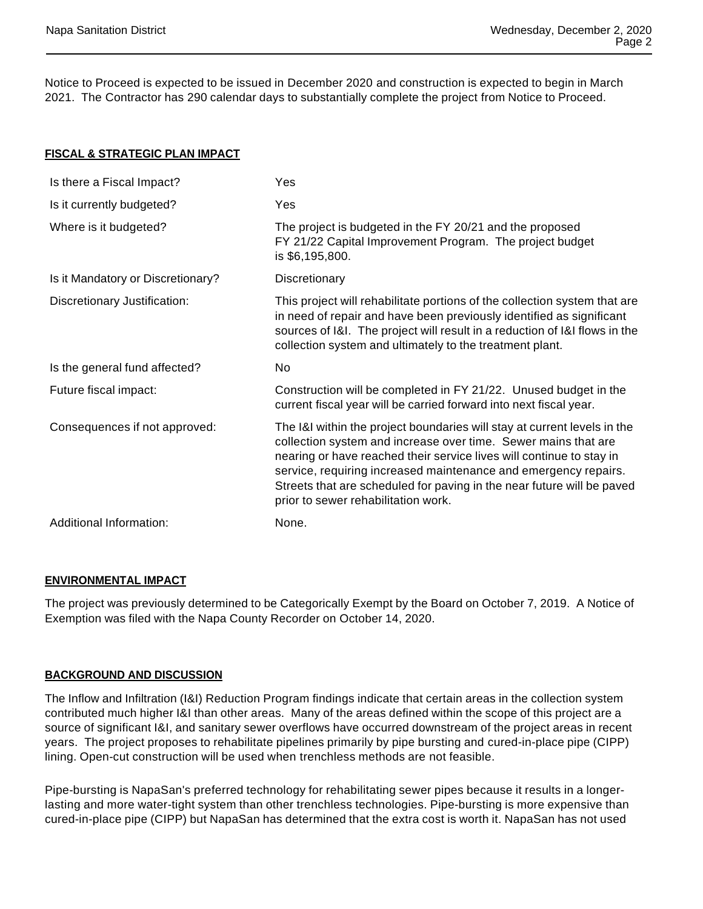Notice to Proceed is expected to be issued in December 2020 and construction is expected to begin in March 2021. The Contractor has 290 calendar days to substantially complete the project from Notice to Proceed.

#### **FISCAL & STRATEGIC PLAN IMPACT**

| Is there a Fiscal Impact?         | Yes                                                                                                                                                                                                                                                                                                                                                                                                    |
|-----------------------------------|--------------------------------------------------------------------------------------------------------------------------------------------------------------------------------------------------------------------------------------------------------------------------------------------------------------------------------------------------------------------------------------------------------|
| Is it currently budgeted?         | Yes                                                                                                                                                                                                                                                                                                                                                                                                    |
| Where is it budgeted?             | The project is budgeted in the FY 20/21 and the proposed<br>FY 21/22 Capital Improvement Program. The project budget<br>is \$6,195,800.                                                                                                                                                                                                                                                                |
| Is it Mandatory or Discretionary? | Discretionary                                                                                                                                                                                                                                                                                                                                                                                          |
| Discretionary Justification:      | This project will rehabilitate portions of the collection system that are<br>in need of repair and have been previously identified as significant<br>sources of I&I. The project will result in a reduction of I&I flows in the<br>collection system and ultimately to the treatment plant.                                                                                                            |
|                                   |                                                                                                                                                                                                                                                                                                                                                                                                        |
| Is the general fund affected?     | No.                                                                                                                                                                                                                                                                                                                                                                                                    |
| Future fiscal impact:             | Construction will be completed in FY 21/22. Unused budget in the<br>current fiscal year will be carried forward into next fiscal year.                                                                                                                                                                                                                                                                 |
| Consequences if not approved:     | The I&I within the project boundaries will stay at current levels in the<br>collection system and increase over time. Sewer mains that are<br>nearing or have reached their service lives will continue to stay in<br>service, requiring increased maintenance and emergency repairs.<br>Streets that are scheduled for paving in the near future will be paved<br>prior to sewer rehabilitation work. |
| Additional Information:           | None.                                                                                                                                                                                                                                                                                                                                                                                                  |

#### **ENVIRONMENTAL IMPACT**

The project was previously determined to be Categorically Exempt by the Board on October 7, 2019. A Notice of Exemption was filed with the Napa County Recorder on October 14, 2020.

#### **BACKGROUND AND DISCUSSION**

The Inflow and Infiltration (I&I) Reduction Program findings indicate that certain areas in the collection system contributed much higher I&I than other areas. Many of the areas defined within the scope of this project are a source of significant I&I, and sanitary sewer overflows have occurred downstream of the project areas in recent years. The project proposes to rehabilitate pipelines primarily by pipe bursting and cured-in-place pipe (CIPP) lining. Open-cut construction will be used when trenchless methods are not feasible.

Pipe-bursting is NapaSan's preferred technology for rehabilitating sewer pipes because it results in a longerlasting and more water-tight system than other trenchless technologies. Pipe-bursting is more expensive than cured-in-place pipe (CIPP) but NapaSan has determined that the extra cost is worth it. NapaSan has not used